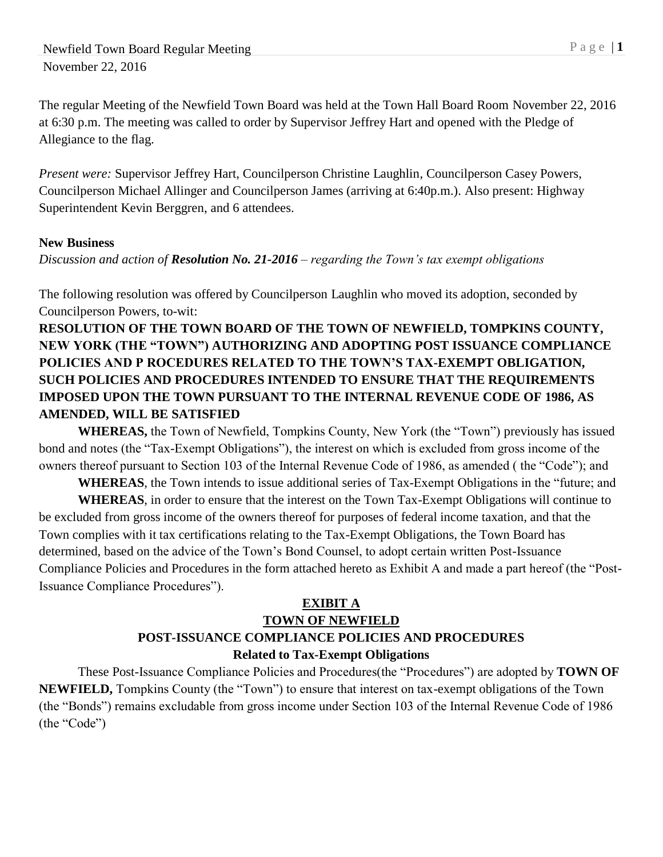The regular Meeting of the Newfield Town Board was held at the Town Hall Board Room November 22, 2016 at 6:30 p.m. The meeting was called to order by Supervisor Jeffrey Hart and opened with the Pledge of Allegiance to the flag.

*Present were:* Supervisor Jeffrey Hart, Councilperson Christine Laughlin, Councilperson Casey Powers, Councilperson Michael Allinger and Councilperson James (arriving at 6:40p.m.). Also present: Highway Superintendent Kevin Berggren, and 6 attendees.

## **New Business**

*Discussion and action of Resolution No. 21-2016 – regarding the Town's tax exempt obligations*

The following resolution was offered by Councilperson Laughlin who moved its adoption, seconded by Councilperson Powers, to-wit:

# **RESOLUTION OF THE TOWN BOARD OF THE TOWN OF NEWFIELD, TOMPKINS COUNTY, NEW YORK (THE "TOWN") AUTHORIZING AND ADOPTING POST ISSUANCE COMPLIANCE POLICIES AND P ROCEDURES RELATED TO THE TOWN'S TAX-EXEMPT OBLIGATION, SUCH POLICIES AND PROCEDURES INTENDED TO ENSURE THAT THE REQUIREMENTS IMPOSED UPON THE TOWN PURSUANT TO THE INTERNAL REVENUE CODE OF 1986, AS AMENDED, WILL BE SATISFIED**

**WHEREAS,** the Town of Newfield, Tompkins County, New York (the "Town") previously has issued bond and notes (the "Tax-Exempt Obligations"), the interest on which is excluded from gross income of the owners thereof pursuant to Section 103 of the Internal Revenue Code of 1986, as amended ( the "Code"); and

**WHEREAS**, the Town intends to issue additional series of Tax-Exempt Obligations in the "future; and **WHEREAS**, in order to ensure that the interest on the Town Tax-Exempt Obligations will continue to

be excluded from gross income of the owners thereof for purposes of federal income taxation, and that the Town complies with it tax certifications relating to the Tax-Exempt Obligations, the Town Board has determined, based on the advice of the Town's Bond Counsel, to adopt certain written Post-Issuance Compliance Policies and Procedures in the form attached hereto as Exhibit A and made a part hereof (the "Post-Issuance Compliance Procedures").

# **EXIBIT A**

# **TOWN OF NEWFIELD POST-ISSUANCE COMPLIANCE POLICIES AND PROCEDURES Related to Tax-Exempt Obligations**

These Post-Issuance Compliance Policies and Procedures(the "Procedures") are adopted by **TOWN OF NEWFIELD,** Tompkins County (the "Town") to ensure that interest on tax-exempt obligations of the Town (the "Bonds") remains excludable from gross income under Section 103 of the Internal Revenue Code of 1986 (the "Code")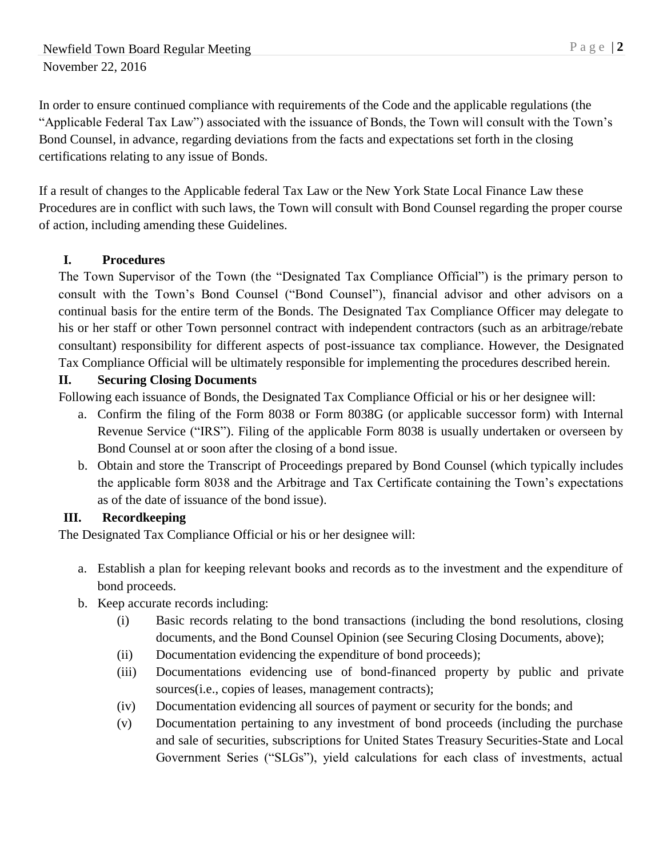In order to ensure continued compliance with requirements of the Code and the applicable regulations (the "Applicable Federal Tax Law") associated with the issuance of Bonds, the Town will consult with the Town's Bond Counsel, in advance, regarding deviations from the facts and expectations set forth in the closing certifications relating to any issue of Bonds.

If a result of changes to the Applicable federal Tax Law or the New York State Local Finance Law these Procedures are in conflict with such laws, the Town will consult with Bond Counsel regarding the proper course of action, including amending these Guidelines.

# **I. Procedures**

The Town Supervisor of the Town (the "Designated Tax Compliance Official") is the primary person to consult with the Town's Bond Counsel ("Bond Counsel"), financial advisor and other advisors on a continual basis for the entire term of the Bonds. The Designated Tax Compliance Officer may delegate to his or her staff or other Town personnel contract with independent contractors (such as an arbitrage/rebate consultant) responsibility for different aspects of post-issuance tax compliance. However, the Designated Tax Compliance Official will be ultimately responsible for implementing the procedures described herein.

## **II. Securing Closing Documents**

Following each issuance of Bonds, the Designated Tax Compliance Official or his or her designee will:

- a. Confirm the filing of the Form 8038 or Form 8038G (or applicable successor form) with Internal Revenue Service ("IRS"). Filing of the applicable Form 8038 is usually undertaken or overseen by Bond Counsel at or soon after the closing of a bond issue.
- b. Obtain and store the Transcript of Proceedings prepared by Bond Counsel (which typically includes the applicable form 8038 and the Arbitrage and Tax Certificate containing the Town's expectations as of the date of issuance of the bond issue).

## **III. Recordkeeping**

The Designated Tax Compliance Official or his or her designee will:

- a. Establish a plan for keeping relevant books and records as to the investment and the expenditure of bond proceeds.
- b. Keep accurate records including:
	- (i) Basic records relating to the bond transactions (including the bond resolutions, closing documents, and the Bond Counsel Opinion (see Securing Closing Documents, above);
	- (ii) Documentation evidencing the expenditure of bond proceeds);
	- (iii) Documentations evidencing use of bond-financed property by public and private sources(i.e., copies of leases, management contracts);
	- (iv) Documentation evidencing all sources of payment or security for the bonds; and
	- (v) Documentation pertaining to any investment of bond proceeds (including the purchase and sale of securities, subscriptions for United States Treasury Securities-State and Local Government Series ("SLGs"), yield calculations for each class of investments, actual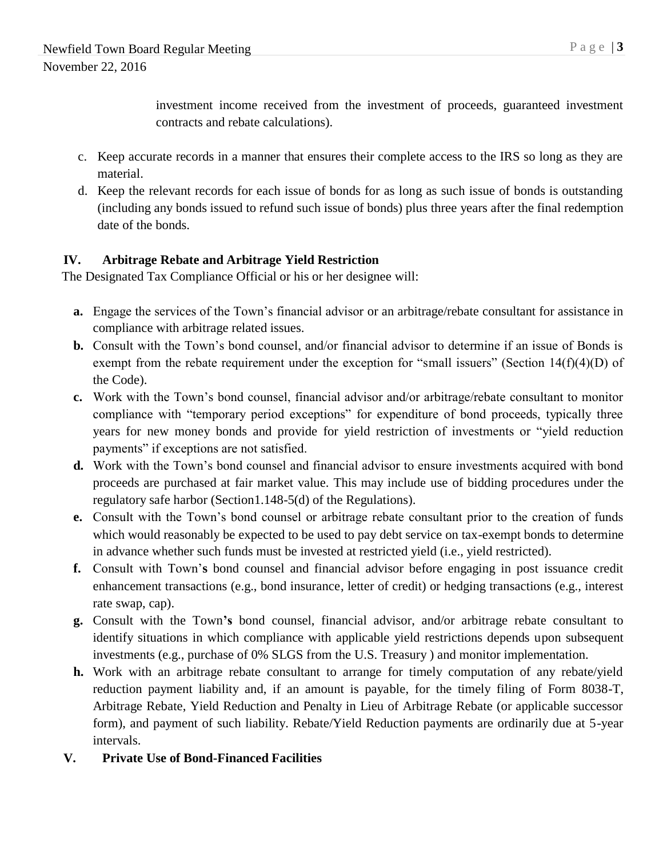investment income received from the investment of proceeds, guaranteed investment contracts and rebate calculations).

- c. Keep accurate records in a manner that ensures their complete access to the IRS so long as they are material.
- d. Keep the relevant records for each issue of bonds for as long as such issue of bonds is outstanding (including any bonds issued to refund such issue of bonds) plus three years after the final redemption date of the bonds.

# **IV. Arbitrage Rebate and Arbitrage Yield Restriction**

The Designated Tax Compliance Official or his or her designee will:

- **a.** Engage the services of the Town's financial advisor or an arbitrage/rebate consultant for assistance in compliance with arbitrage related issues.
- **b.** Consult with the Town's bond counsel, and/or financial advisor to determine if an issue of Bonds is exempt from the rebate requirement under the exception for "small issuers" (Section  $14(f)(4)(D)$  of the Code).
- **c.** Work with the Town's bond counsel, financial advisor and/or arbitrage/rebate consultant to monitor compliance with "temporary period exceptions" for expenditure of bond proceeds, typically three years for new money bonds and provide for yield restriction of investments or "yield reduction payments" if exceptions are not satisfied.
- **d.** Work with the Town's bond counsel and financial advisor to ensure investments acquired with bond proceeds are purchased at fair market value. This may include use of bidding procedures under the regulatory safe harbor (Section1.148-5(d) of the Regulations).
- **e.** Consult with the Town's bond counsel or arbitrage rebate consultant prior to the creation of funds which would reasonably be expected to be used to pay debt service on tax-exempt bonds to determine in advance whether such funds must be invested at restricted yield (i.e., yield restricted).
- **f.** Consult with Town'**s** bond counsel and financial advisor before engaging in post issuance credit enhancement transactions (e.g., bond insurance, letter of credit) or hedging transactions (e.g., interest rate swap, cap).
- **g.** Consult with the Town**'s** bond counsel, financial advisor, and/or arbitrage rebate consultant to identify situations in which compliance with applicable yield restrictions depends upon subsequent investments (e.g., purchase of 0% SLGS from the U.S. Treasury ) and monitor implementation.
- **h.** Work with an arbitrage rebate consultant to arrange for timely computation of any rebate/yield reduction payment liability and, if an amount is payable, for the timely filing of Form 8038-T, Arbitrage Rebate, Yield Reduction and Penalty in Lieu of Arbitrage Rebate (or applicable successor form), and payment of such liability. Rebate/Yield Reduction payments are ordinarily due at 5-year intervals.
- **V. Private Use of Bond-Financed Facilities**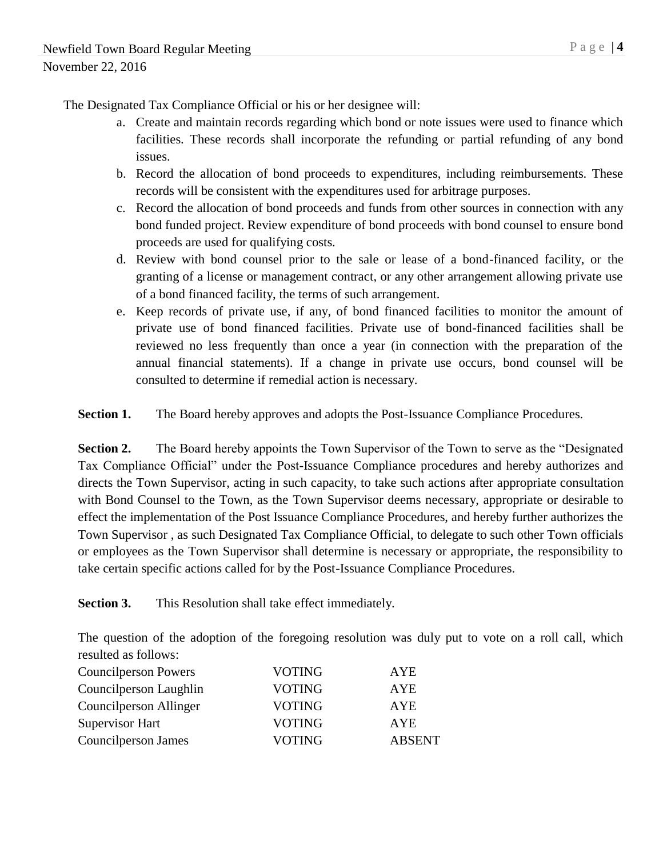The Designated Tax Compliance Official or his or her designee will:

- a. Create and maintain records regarding which bond or note issues were used to finance which facilities. These records shall incorporate the refunding or partial refunding of any bond issues.
- b. Record the allocation of bond proceeds to expenditures, including reimbursements. These records will be consistent with the expenditures used for arbitrage purposes.
- c. Record the allocation of bond proceeds and funds from other sources in connection with any bond funded project. Review expenditure of bond proceeds with bond counsel to ensure bond proceeds are used for qualifying costs.
- d. Review with bond counsel prior to the sale or lease of a bond-financed facility, or the granting of a license or management contract, or any other arrangement allowing private use of a bond financed facility, the terms of such arrangement.
- e. Keep records of private use, if any, of bond financed facilities to monitor the amount of private use of bond financed facilities. Private use of bond-financed facilities shall be reviewed no less frequently than once a year (in connection with the preparation of the annual financial statements). If a change in private use occurs, bond counsel will be consulted to determine if remedial action is necessary.

**Section 1.** The Board hereby approves and adopts the Post-Issuance Compliance Procedures.

**Section 2.** The Board hereby appoints the Town Supervisor of the Town to serve as the "Designated Tax Compliance Official" under the Post-Issuance Compliance procedures and hereby authorizes and directs the Town Supervisor, acting in such capacity, to take such actions after appropriate consultation with Bond Counsel to the Town, as the Town Supervisor deems necessary, appropriate or desirable to effect the implementation of the Post Issuance Compliance Procedures, and hereby further authorizes the Town Supervisor , as such Designated Tax Compliance Official, to delegate to such other Town officials or employees as the Town Supervisor shall determine is necessary or appropriate, the responsibility to take certain specific actions called for by the Post-Issuance Compliance Procedures.

**Section 3.** This Resolution shall take effect immediately.

The question of the adoption of the foregoing resolution was duly put to vote on a roll call, which resulted as follows:

| <b>Councilperson Powers</b> | <b>VOTING</b> | <b>AYE</b>    |
|-----------------------------|---------------|---------------|
| Councilperson Laughlin      | <b>VOTING</b> | <b>AYE</b>    |
| Councilperson Allinger      | <b>VOTING</b> | <b>AYE</b>    |
| Supervisor Hart             | <b>VOTING</b> | <b>AYE</b>    |
| Councilperson James         | <b>VOTING</b> | <b>ABSENT</b> |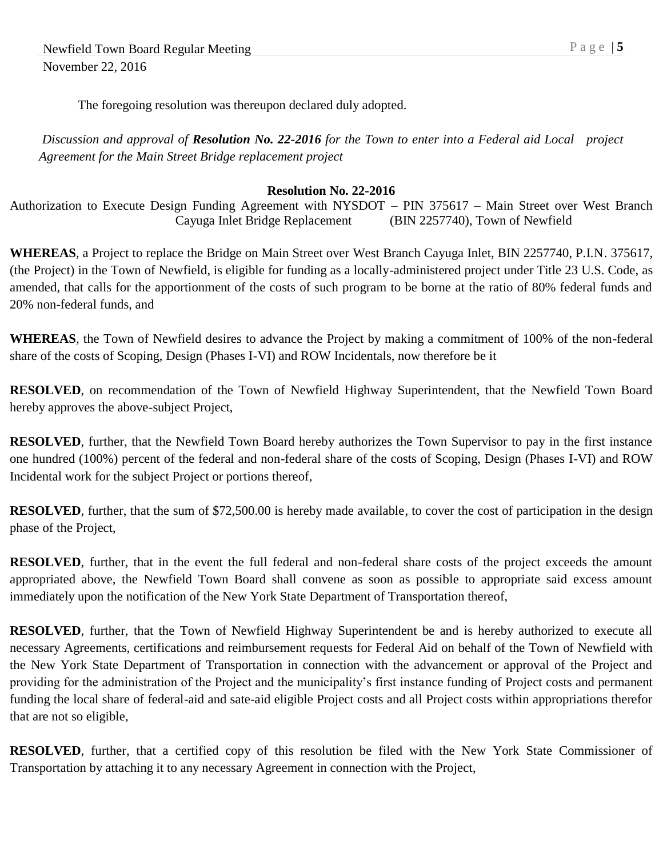The foregoing resolution was thereupon declared duly adopted.

*Discussion and approval of Resolution No. 22-2016 for the Town to enter into a Federal aid Local project Agreement for the Main Street Bridge replacement project*

#### **Resolution No. 22-2016**

Authorization to Execute Design Funding Agreement with NYSDOT – PIN 375617 – Main Street over West Branch Cayuga Inlet Bridge Replacement (BIN 2257740), Town of Newfield

**WHEREAS**, a Project to replace the Bridge on Main Street over West Branch Cayuga Inlet, BIN 2257740, P.I.N. 375617, (the Project) in the Town of Newfield, is eligible for funding as a locally-administered project under Title 23 U.S. Code, as amended, that calls for the apportionment of the costs of such program to be borne at the ratio of 80% federal funds and 20% non-federal funds, and

**WHEREAS**, the Town of Newfield desires to advance the Project by making a commitment of 100% of the non-federal share of the costs of Scoping, Design (Phases I-VI) and ROW Incidentals, now therefore be it

**RESOLVED**, on recommendation of the Town of Newfield Highway Superintendent, that the Newfield Town Board hereby approves the above-subject Project,

**RESOLVED**, further, that the Newfield Town Board hereby authorizes the Town Supervisor to pay in the first instance one hundred (100%) percent of the federal and non-federal share of the costs of Scoping, Design (Phases I-VI) and ROW Incidental work for the subject Project or portions thereof,

**RESOLVED**, further, that the sum of \$72,500.00 is hereby made available, to cover the cost of participation in the design phase of the Project,

**RESOLVED**, further, that in the event the full federal and non-federal share costs of the project exceeds the amount appropriated above, the Newfield Town Board shall convene as soon as possible to appropriate said excess amount immediately upon the notification of the New York State Department of Transportation thereof,

**RESOLVED**, further, that the Town of Newfield Highway Superintendent be and is hereby authorized to execute all necessary Agreements, certifications and reimbursement requests for Federal Aid on behalf of the Town of Newfield with the New York State Department of Transportation in connection with the advancement or approval of the Project and providing for the administration of the Project and the municipality's first instance funding of Project costs and permanent funding the local share of federal-aid and sate-aid eligible Project costs and all Project costs within appropriations therefor that are not so eligible,

**RESOLVED**, further, that a certified copy of this resolution be filed with the New York State Commissioner of Transportation by attaching it to any necessary Agreement in connection with the Project,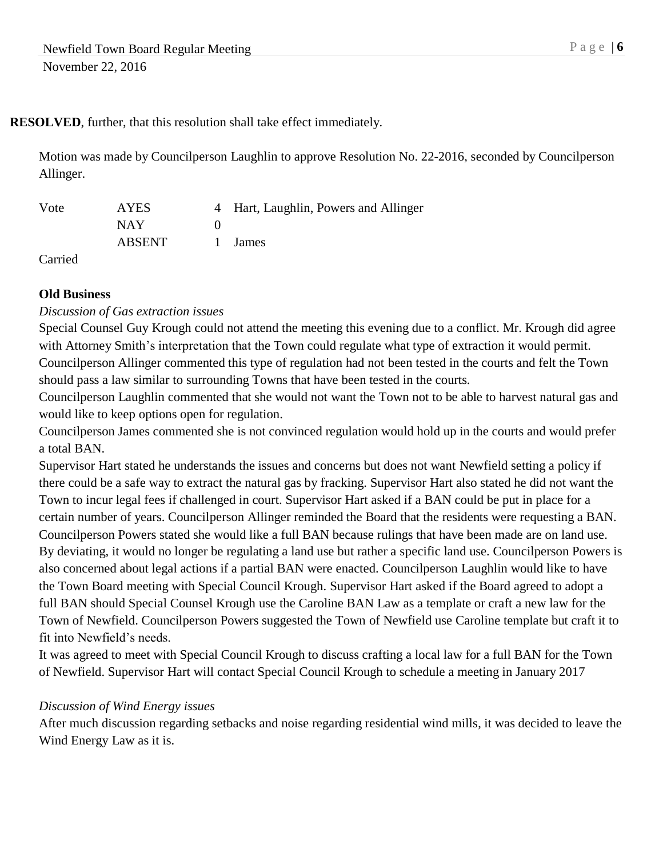## **RESOLVED**, further, that this resolution shall take effect immediately.

Motion was made by Councilperson Laughlin to approve Resolution No. 22-2016, seconded by Councilperson Allinger.

| Vote | AYES          | 4 Hart, Laughlin, Powers and Allinger |
|------|---------------|---------------------------------------|
|      | NAY.          |                                       |
|      | <b>ABSENT</b> | 1 James                               |

Carried

## **Old Business**

*Discussion of Gas extraction issues*

Special Counsel Guy Krough could not attend the meeting this evening due to a conflict. Mr. Krough did agree with Attorney Smith's interpretation that the Town could regulate what type of extraction it would permit. Councilperson Allinger commented this type of regulation had not been tested in the courts and felt the Town should pass a law similar to surrounding Towns that have been tested in the courts.

Councilperson Laughlin commented that she would not want the Town not to be able to harvest natural gas and would like to keep options open for regulation.

Councilperson James commented she is not convinced regulation would hold up in the courts and would prefer a total BAN.

Supervisor Hart stated he understands the issues and concerns but does not want Newfield setting a policy if there could be a safe way to extract the natural gas by fracking. Supervisor Hart also stated he did not want the Town to incur legal fees if challenged in court. Supervisor Hart asked if a BAN could be put in place for a certain number of years. Councilperson Allinger reminded the Board that the residents were requesting a BAN. Councilperson Powers stated she would like a full BAN because rulings that have been made are on land use. By deviating, it would no longer be regulating a land use but rather a specific land use. Councilperson Powers is also concerned about legal actions if a partial BAN were enacted. Councilperson Laughlin would like to have the Town Board meeting with Special Council Krough. Supervisor Hart asked if the Board agreed to adopt a full BAN should Special Counsel Krough use the Caroline BAN Law as a template or craft a new law for the Town of Newfield. Councilperson Powers suggested the Town of Newfield use Caroline template but craft it to fit into Newfield's needs.

It was agreed to meet with Special Council Krough to discuss crafting a local law for a full BAN for the Town of Newfield. Supervisor Hart will contact Special Council Krough to schedule a meeting in January 2017

## *Discussion of Wind Energy issues*

After much discussion regarding setbacks and noise regarding residential wind mills, it was decided to leave the Wind Energy Law as it is.